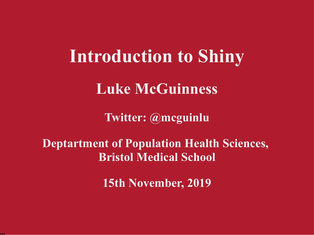**Introduction to Shiny Luke McGuinness**

**Twitter: @mcguinlu**

**Deptartment of Population Health Sciences, Bristol Medical School**

**15th November, 2019**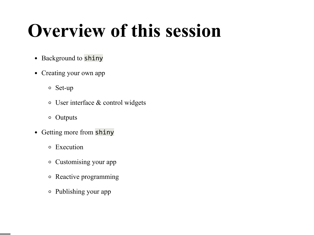# **Overview of this session**

- Background to shiny
- Creating your own app
	- Set-up
	- User interface & control widgets
	- Outputs
- Getting more from shiny
	- Execution
	- Customising your app
	- Reactive programming
	- Publishing your app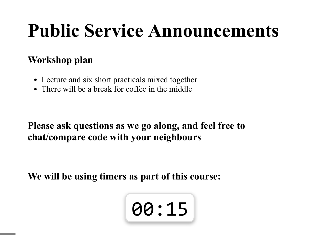# **Public Service Announcements**

### **Workshop plan**

- Lecture and six short practicals mixed together
- There will be a break for coffee in the middle

**Please ask questions as we go along, and feel free to chat/compare code with your neighbours**

**We will be using timers as part of this course:**

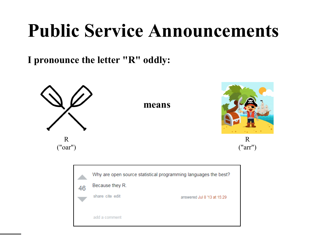# **Public Service Announcements**

**I pronounce the letter "R" oddly:**

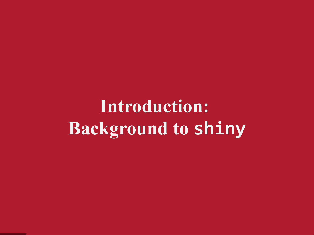**Introduction: Background to shiny**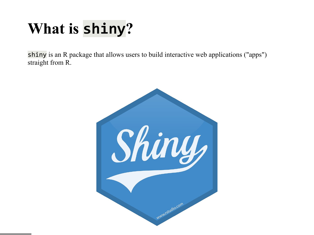### **What is shiny?**

shiny is an R package that allows users to build interactive web applications ("apps") straight from R.

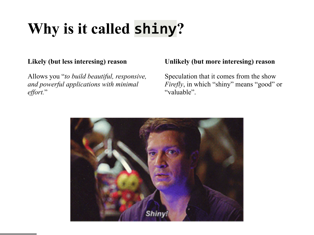## **Why is it called shiny?**

#### **Likely (but less interesing) reason**

Allows you "*to build beautiful, responsive, and powerful applications with minimal effort.*"

#### **Unlikely (but more interesing) reason**

Speculation that it comes from the show *Firefly*, in which "shiny" means "good" or "valuable".

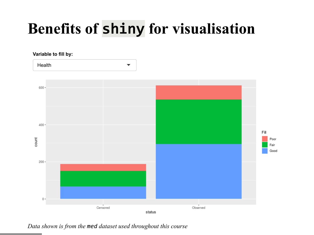### **Benefits of shiny for visualisation**



*Data shown is from the med dataset used throughout this course*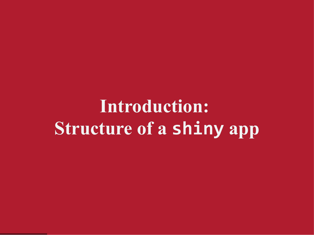**Introduction: Structure of a shiny app**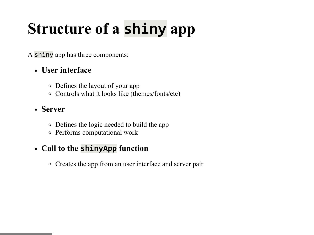## **Structure of a shiny app**

A shiny app has three components:

### **User interface**

- Defines the layout of your app
- Controls what it looks like (themes/fonts/etc)

### **Server**

- Defines the logic needed to build the app
- Performs computational work

### **Call to the shinyApp function**

Creates the app from an user interface and server pair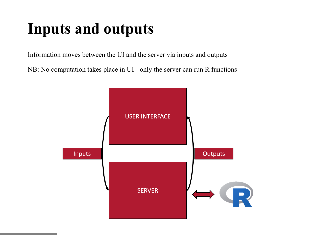### **Inputs and outputs**

Information moves between the UI and the server via inputs and outputs

NB: No computation takes place in UI - only the server can run R functions

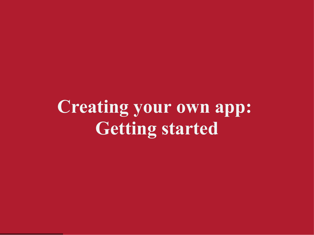# **Creating your own app: Getting started**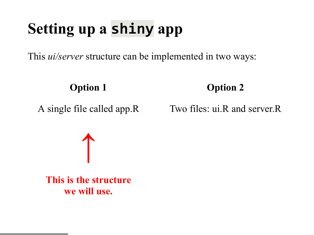## **Setting up a shiny app**

This *ui/server* structure can be implemented in two ways:

**Option 1**

**Option 2**

A single file called app.R

**↑**

Two files: ui.R and server.R

**This is the structure we will use.**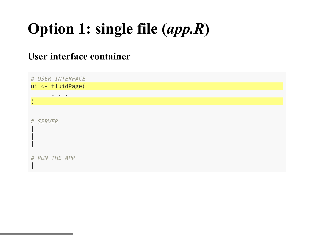## **Option 1: single file (***app.R***)**

### **User interface container**

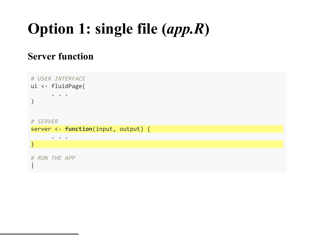## **Option 1: single file (***app.R***)**

### **Server function**

| # USER INTERFACE<br>ui <- fluidPage(            |  |  |  |  |  |
|-------------------------------------------------|--|--|--|--|--|
| $\bullet$                                       |  |  |  |  |  |
| # SERVER<br>server <- function(input, output) { |  |  |  |  |  |
| $\bullet \qquad \bullet \qquad \bullet$<br>$\}$ |  |  |  |  |  |
| # RUN THE APP                                   |  |  |  |  |  |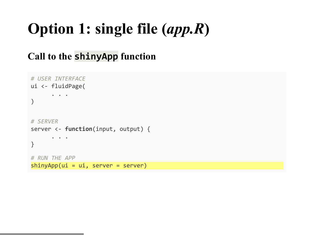## **Option 1: single file (***app.R***)**

### **Call to the shinyApp function**

```
# USER INTERFACE
ui <- fluidPage(
        . . .
\sum_{i=1}^{n}# SERVER
server <- function(input, output) { 
        . . .
} 
# RUN THE APP
shipApp(ui = ui, server = server)
```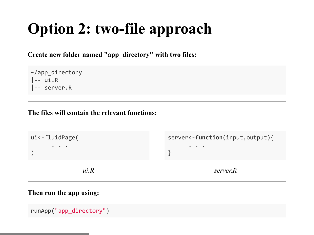## **Option 2: two-file approach**

**Create new folder named "app\_directory" with two files:**

```
~/app_directory
|-- ui.R
 |-- server.R
```
#### **The files will contain the relevant functions:**



#### **Then run the app using:**

runApp("app\_directory")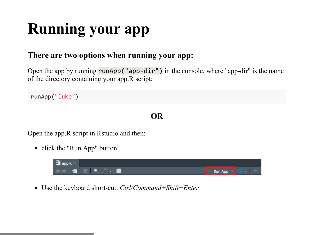## **Running your app**

#### **There are two options when running your app:**

Open the app by running runApp("app-dir") in the console, where "app-dir" is the name of the directory containing your app.R script:

runApp("luke")

#### **OR**

Open the app.R script in Rstudio and then:

• click the "Run App" button:



Use the keyboard short-cut: *Ctrl/Command+Shift+Enter*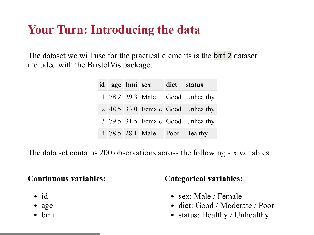### **Your Turn: Introducing the data**

The dataset we will use for the practical elements is the **bmi2** dataset included with the BristolVis package:

|  | id age bmi sex |  | diet status                       |
|--|----------------|--|-----------------------------------|
|  |                |  | 1 78.2 29.3 Male Good Unhealthy   |
|  |                |  | 2 48.5 33.0 Female Good Unhealthy |
|  |                |  | 3 79.5 31.5 Female Good Unhealthy |
|  |                |  | 4 78.5 28.1 Male Poor Healthy     |

The data set contains 200 observations across the following six variables:

#### **Continuous variables:**

- $\bullet$  id
- age
- bmi

#### **Categorical variables:**

- sex: Male / Female
- diet: Good / Moderate / Poor
- status: Healthy / Unhealthy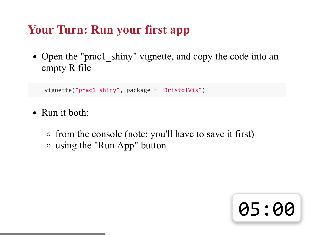### **Your Turn: Run your first app**

• Open the "prac1 shiny" vignette, and copy the code into an empty R file

```
vignette("prac1_shiny", package = "BristolVis")
```
- Run it both:
	- $\circ$  from the console (note: you'll have to save it first) using the "Run App" button

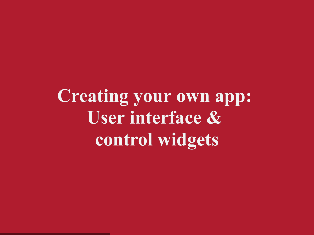**Creating your own app: User interface & control widgets**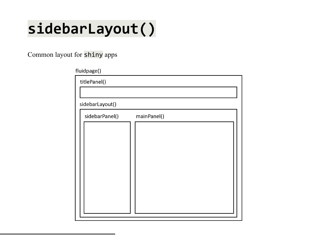## **sidebarLayout()**

Common layout for shiny apps

| fluidpage()     |             |  |  |  |  |
|-----------------|-------------|--|--|--|--|
| titlePanel()    |             |  |  |  |  |
|                 |             |  |  |  |  |
| sidebarLayout() |             |  |  |  |  |
| sidebarPanel()  | mainPanel() |  |  |  |  |
|                 |             |  |  |  |  |
|                 |             |  |  |  |  |
|                 |             |  |  |  |  |
|                 |             |  |  |  |  |
|                 |             |  |  |  |  |
|                 |             |  |  |  |  |
|                 |             |  |  |  |  |
|                 |             |  |  |  |  |
|                 |             |  |  |  |  |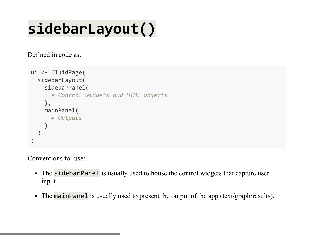## **sidebarLayout()**

Defined in code as:

```
ui <- fluidPage( 
     sidebarLayout(
        sidebarPanel(
            # Control widgets and HTML objects
        ),
        mainPanel(
            # Outputs
\left( \begin{array}{cc} \end{array} \right)\left( \begin{array}{c} \end{array} \right)\sum_{i=1}^{n}
```
Conventions for use:

- The sidebarPanel is usually used to house the control widgets that capture user input.
- The mainPanel is usually used to present the output of the app (text/graph/results).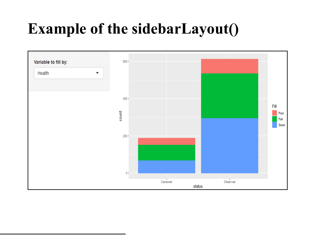### **Example of the sidebarLayout()**

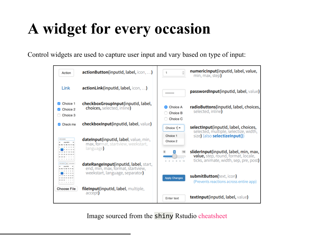### **A widget for every occasion**

Control widgets are used to capture user input and vary based on type of input:



Image sourced from the shiny Rstudio [cheatsheet](https://shiny.rstudio.com/images/shiny-cheatsheet.pdf)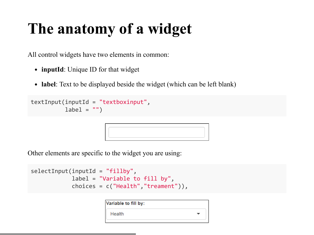### **The anatomy of a widget**

All control widgets have two elements in common:

- **inputId**: Unique ID for that widget
- **label**: Text to be displayed beside the widget (which can be left blank)

```
textInput(inputId = "textboxinput",
          label = "")
```
Other elements are specific to the widget you are using:

```
selectInput(inputId = "fillby",
             label = "Variable to fill by",
             choices = c("Health","treament")),
```

| Variable to fill by: |  |  |  |
|----------------------|--|--|--|
| Health               |  |  |  |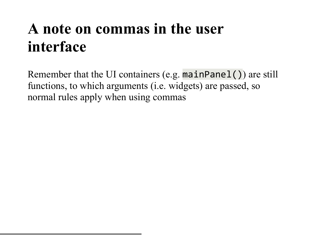### **A note on commas in the user interface**

Remember that the UI containers (e.g. mainPanel()) are still functions, to which arguments (i.e. widgets) are passed, so normal rules apply when using commas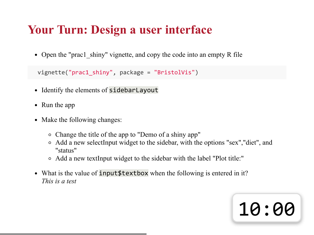### **Your Turn: Design a user interface**

• Open the "prac1 shiny" vignette, and copy the code into an empty R file

```
 vignette("prac1_shiny", package = "BristolVis")
```
- Identify the elements of sidebarLayout
- Run the app
- Make the following changes:
	- Change the title of the app to "Demo of a shiny app"
	- Add a new selectInput widget to the sidebar, with the options "sex","diet", and "status"
	- Add a new textInput widget to the sidebar with the label "Plot title:"
- What is the value of **input**\$textbox when the following is entered in it? *This is a test*

# 10:00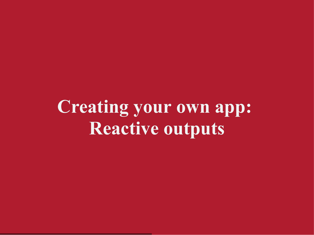**Creating your own app: Reactive outputs**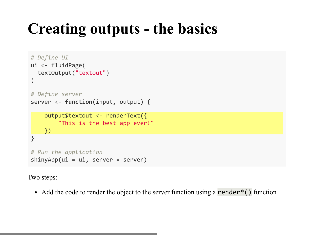### **Creating outputs - the basics**

```
# Define UI
ui <- fluidPage(
   textOutput("textout")
\sum_{i=1}^{n}# Define server
server <- function(input, output) {
     output$textout <- renderText({
          "This is the best app ever!"
     })
}
# Run the application 
shinyApp(ui = ui, server = server)
```
Two steps:

• Add the code to render the object to the server function using a **render**\*() function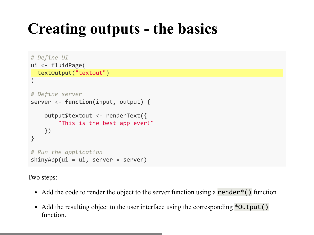### **Creating outputs - the basics**

```
# Define UI 
ui <- fluidPage(
   textOutput("textout")
\sum_{i=1}^{n}# Define server
server <- function(input, output) {
     output$textout <- renderText({
          "This is the best app ever!"
     })
}
# Run the application 
shinyApp(ui = ui, server = server)
```
Two steps:

- Add the code to render the object to the server function using a **render**\*() function
- Add the resulting object to the user interface using the corresponding \*Output() function.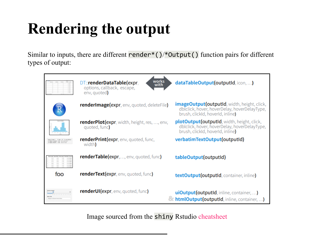## **Rendering the output**

Similar to inputs, there are different render\*()/\*Output() function pairs for different types of output:



Image sourced from the shiny Rstudio [cheatsheet](https://shiny.rstudio.com/images/shiny-cheatsheet.pdf)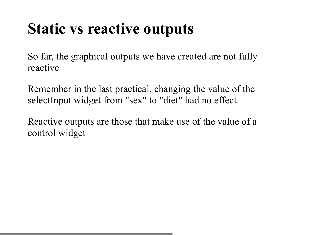### **Static vs reactive outputs**

So far, the graphical outputs we have created are not fully reactive

Remember in the last practical, changing the value of the selectInput widget from "sex" to "diet" had no effect

Reactive outputs are those that make use of the value of a control widget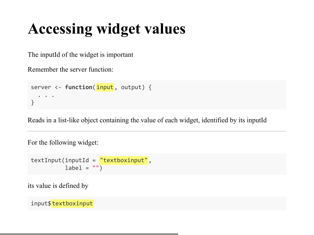### **Accessing widget values**

The inputId of the widget is important

Remember the server function:

```
server <- function(input, output) {
   . . . 
}
```
Reads in a list-like object containing the value of each widget, identified by its inputId

For the following widget:

textInput(inputId = "textboxinput",  $label = "")$ 

its value is defined by

input\$textboxinput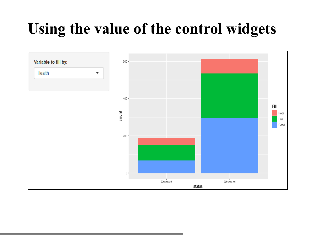### **Using the value of the control widgets**

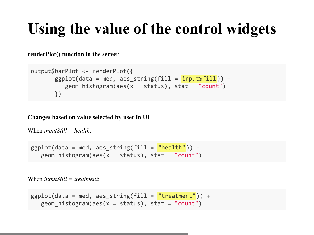### **Using the value of the control widgets**

**renderPlot() function in the server**

```
output$barPlot <- renderPlot({
       ggplot(data = med, aes string(fill = input$fill)) +geom histogram(aes(x = status), stat = "count")
        })
```
**Changes based on value selected by user in UI**

```
When input$fill = health:
```

```
ggplot(data = med, aes string(fill = "health")) +
   geom histogram(aes(x = status), stat = "count")
```
When *input\$fill = treatment*:

```
ggplot(data = med, aes string(fill = "treatment")) +geom histogram(aes(x = status), stat = "count")
```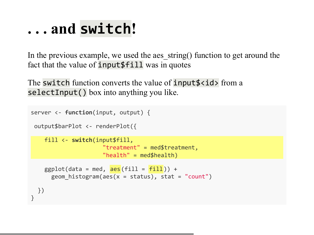### **. . . and switch!**

In the previous example, we used the aes string() function to get around the fact that the value of input\$fill was in quotes

The switch function converts the value of input \$<id> from a selectInput() box into anything you like.

```
server <- function(input, output) {
 output$barPlot <- renderPlot({
     fill <- switch(input$fill,
                       "treatment" = med$treatment,
                       "health" = med$health)
    ggplot(data = med, <u>aes</u>(fill = <u>fill</u>)) +geom histogram(aes(x = status), stat = "count")
  })
}
```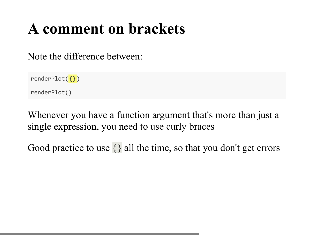### **A comment on brackets**

Note the difference between:

```
renderPlot({})
```

```
renderPlot()
```
Whenever you have a function argument that's more than just a single expression, you need to use curly braces

Good practice to use  $\{\}$  all the time, so that you don't get errors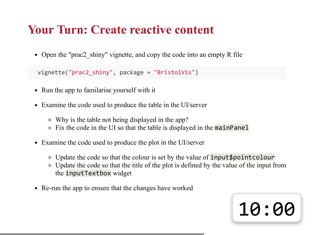### **Your Turn: Create reactive content**

• Open the "prac2 shiny" vignette, and copy the code into an empty R file

vignette("prac2\_shiny", package = "BristolVis")

- Run the app to familarise yourself with it
- Examine the code used to produce the table in the UI/server
	- Why is the table not being displayed in the app?
	- Fix the code in the UI so that the table is displayed in the mainPanel
- Examine the code used to produce the plot in the UI/server
	- Update the code so that the colour is set by the value of input\$pointcolour
	- Update the code so that the title of the plot is defined by the value of the input from the inputTextbox widget
- Re-run the app to ensure that the changes have worked

# 10:00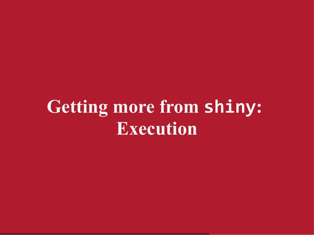# **Getting more from shiny: Execution**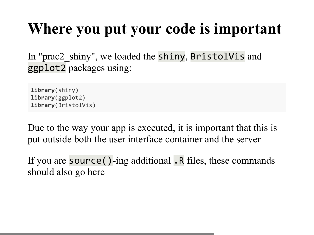### **Where you put your code is important**

In "prac2\_shiny", we loaded the shiny, BristolVis and ggplot2 packages using:

**library**(shiny) **library**(ggplot2) **library**(BristolVis)

Due to the way your app is executed, it is important that this is put outside both the user interface container and the server

If you are source()-ing additional .R files, these commands should also go here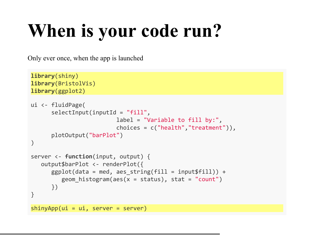# **When is your code run?**

Only ever once, when the app is launched

```
library(shiny)
library(BristolVis)
library(ggplot2)
ui <- fluidPage(
      selectInput(inputId = "fill",
                           label = "Variable to fill by:",
                           choices = c("health","treatment")),
       plotOutput("barPlot")
\sum_{i=1}^{n}server <- function(input, output) {
    output$barPlot <- renderPlot({
      ggplot(data = med, aes_string(fill = input$fill)) +geom histogram(aes(x = status), stat = "count")
       })
}
shinyApp(ui = ui, server = server)
```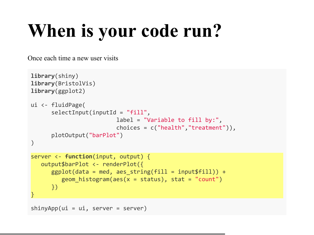# **When is your code run?**

Once each time a new user visits

```
library(shiny)
library(BristolVis)
library(ggplot2)
ui <- fluidPage(
      selectInput(inputId = "fill",
                           label = "Variable to fill by:",
                           choices = c("health","treatment")),
       plotOutput("barPlot")
\sum_{i=1}^{n}server <- function(input, output) {
    output$barPlot <- renderPlot({
      ggplot(data = med, aes_string(fill = input$fill)) +geom\_histogram(aes(x = status), stat = "count") })
}
```

```
shinyApp(ui = ui, server = server)
```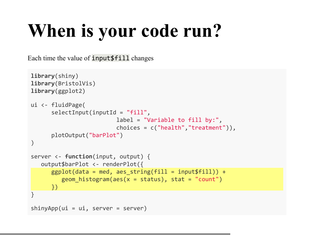# **When is your code run?**

Each time the value of input\$fill changes

```
library(shiny)
library(BristolVis)
library(ggplot2)
ui <- fluidPage(
      selectInput(inputId = "fill",
                           label = "Variable to fill by:",
                           choices = c("health","treatment")),
       plotOutput("barPlot")
\sum_{i=1}^{n}server <- function(input, output) {
    output$barPlot <- renderPlot({
      ggplot(data = med, aes_string(fill = input$fill)) +geom\_histogram(aes(x = status), stat = "count") })
}
shinyApp(ui = ui, server = server)
```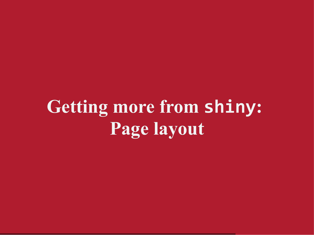# **Getting more from shiny: Page layout**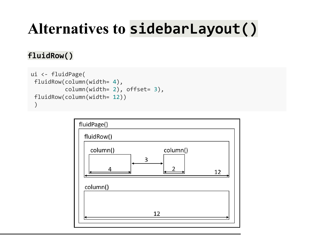## **Alternatives to sidebarLayout()**

### **fluidRow()**

```
ui <- fluidPage(
 fluidRow(column(width= 4),
           column(width= 2), offset= 3),
 fluidRow(column(width= 12))
  )
```
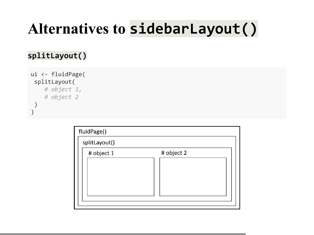### **Alternatives to sidebarLayout()**

### **splitLayout()**

```
ui <- fluidPage(
  splitLayout( 
     # object 1,
     # object 2
 )
)
```

| fluidPage()   |            |  |  |  |  |
|---------------|------------|--|--|--|--|
| splitLayout() |            |  |  |  |  |
| # object 1    | # object 2 |  |  |  |  |
|               |            |  |  |  |  |
|               |            |  |  |  |  |
|               |            |  |  |  |  |
|               |            |  |  |  |  |
|               |            |  |  |  |  |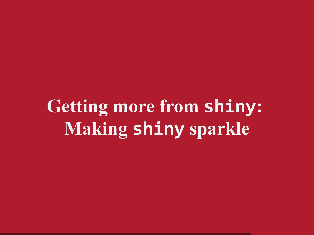**Getting more from shiny: Making shiny sparkle**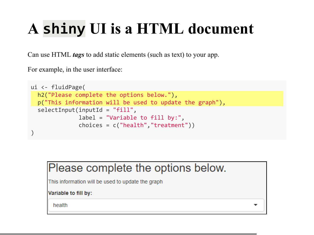## **A shiny UI is a HTML document**

Can use HTML *tags* to add static elements (such as text) to your app.

For example, in the user interface:

```
ui <- fluidPage(
  h2("Please complete the options below."),
   p("This information will be used to update the graph"),
  selectInput(intId = "fill", label = "Variable to fill by:",
               choices = c("health","treatment"))
)
```
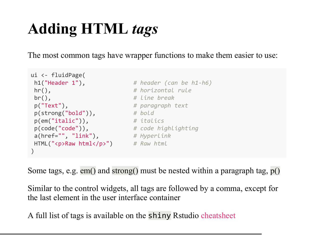## **Adding HTML** *tags*

The most common tags have wrapper functions to make them easier to use:

```
ui <- fluidPage( 
 h1("Header 1"), # header (can be h1-h6)
 hr(), # horizontal rule
 br(), # line break
 p("Text"), # paragraph text
 p(strong("bold")), # bold
 p(em("italic")), # italics 
 p(code("code")), # code highlighting 
 a(href="", "link"), # Hyperlink 
 HTML("<p>Raw html</p>") # Raw html 
\sum_{i=1}^{n}
```
Some tags, e.g.  $em()$  and strong() must be nested within a paragraph tag,  $p()$ 

Similar to the control widgets, all tags are followed by a comma, except for the last element in the user interface container

A full list of tags is available on the shiny Rstudio [cheatsheet](https://shiny.rstudio.com/images/shiny-cheatsheet.pdf)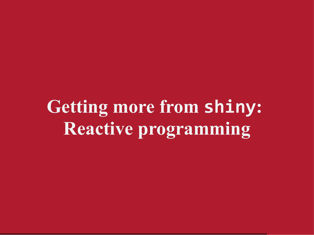**Getting more from shiny: Reactive programming**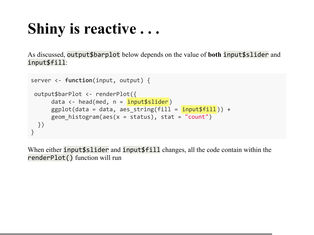### **Shiny is reactive . . .**

As discussed, output\$barplot below depends on the value of **both** input\$slider and input\$fill:

```
server <- function(input, output) {
 output$barPlot <- renderPlot({
      data \langle- head(med, n = input$slider)
      ggplot(data = data, aes string(fill = input$fill)) +geom histogram(aes(x = status), stat = "count")
   })
}
```
When either input\$slider and input\$fill changes, all the code contain within the renderPlot() function will run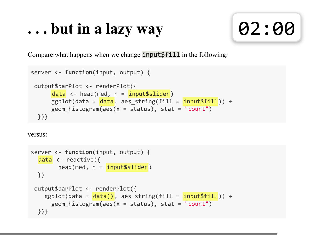### **. . . but in a lazy way**

02:00

Compare what happens when we change input\$fill in the following:

```
server <- function(input, output) {
 output$barPlot <- renderPlot({
      data < - head(med, n = input $slider)
      ggplot(data = data, aes string(fill = input$fill)) +
      geom histogram(aes(x = status), stat = "count")
  })}
```
versus:

```
server <- function(input, output) {
  data < - reactive({
        head(med, n = input$slicer) })
 output$barPlot <- renderPlot({
   ggplot(data = data(), aes string(fill = input$fill)) +
      geom_histogram(aes(x =status), stat = "count")
  })}
```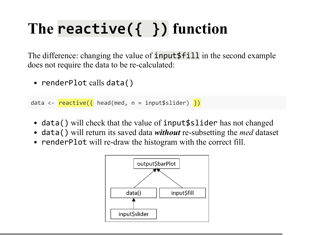## **The reactive({ }) function**

The difference: changing the value of **input** \$fill in the second example does not require the data to be re-calculated:

• renderPlot calls data()

data  $\langle -$  reactive({ head(med, n = input\$slider) })

- data() will check that the value of **input** \$slider has not changed
- data() will return its saved data *without* re-subsetting the *med* dataset
- renderPlot will re-draw the histogram with the correct fill.

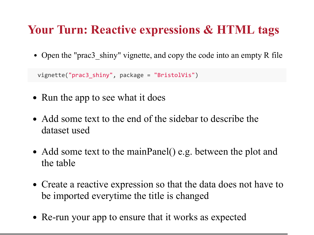### **Your Turn: Reactive expressions & HTML tags**

• Open the "prac3 shiny" vignette, and copy the code into an empty R file

vignette("prac3\_shiny", package = "BristolVis")

- Run the app to see what it does
- Add some text to the end of the sidebar to describe the dataset used
- Add some text to the mainPanel() e.g. between the plot and the table
- Create a reactive expression so that the data does not have to be imported everytime the title is changed
- Re-run your app to ensure that it works as expected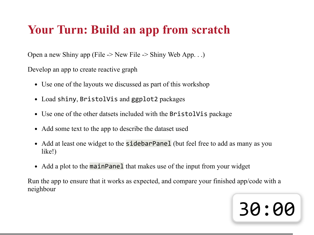### **Your Turn: Build an app from scratch**

Open a new Shiny app (File -> New File -> Shiny Web App. . .)

Develop an app to create reactive graph

- Use one of the layouts we discussed as part of this workshop
- Load shiny, BristolVis and ggplot2 packages
- Use one of the other datsets included with the BristolVis package
- Add some text to the app to describe the dataset used
- Add at least one widget to the **sidebarPanel** (but feel free to add as many as you like!)
- Add a plot to the mainPanel that makes use of the input from your widget

Run the app to ensure that it works as expected, and compare your finished app/code with a neighbour

# 30:00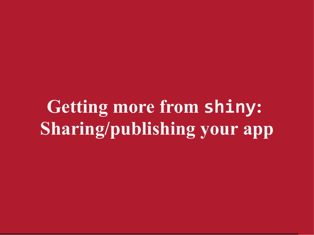**Getting more from shiny: Sharing/publishing your app**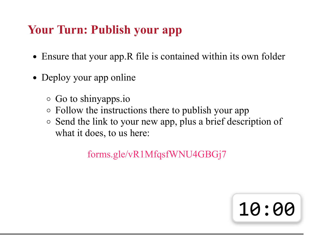### **Your Turn: Publish your app**

- Ensure that your app. R file is contained within its own folder
- Deploy your app online
	- $\circ$  Go to shinyapps.io
	- Follow the instructions there to publish your app
	- $\circ$  Send the link to your new app, plus a brief description of what it does, to us here:

10:00

[forms.gle/vR1MfqsfWNU4GBGj7](https://forms.gle/vR1MfqsfWNU4GBGj7)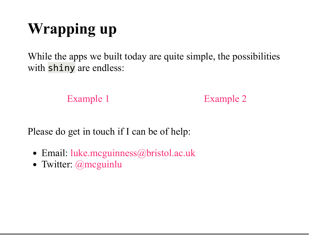## **Wrapping up**

While the apps we built today are quite simple, the possibilities with shiny are endless:

[Example](https://committedtotape.shinyapps.io/sixtyninelovesongs/) 1 Example 2

Please do get in touch if I can be of help:

- Email: [luke.mcguinness@bristol.ac.uk](mailto:luke.mcguinness@bristol.ac.uk)
- Twitter: [@mcguinlu](https://twitter.com/mcguinlu)